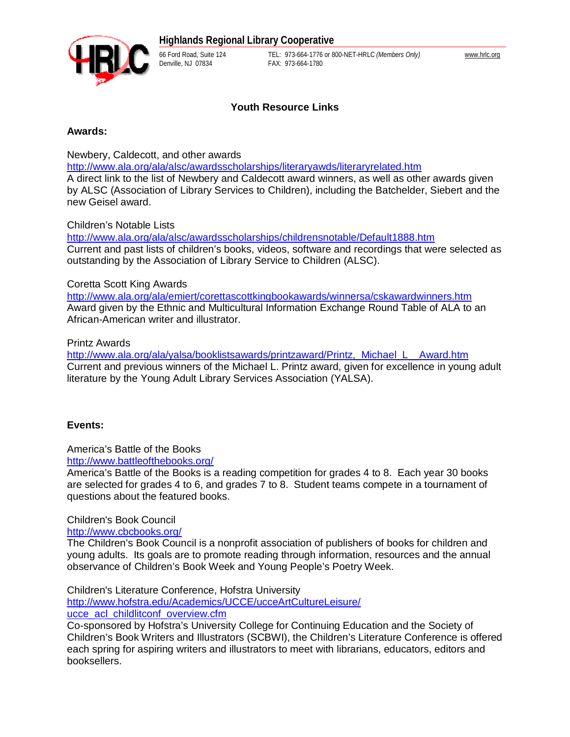

66 Ford Road, Suite 124 TEL: 973-664-1776 or 800-NET-HRLC *(Members Only)* [www.hrlc.org](http://www.hrlc.org) FAX: 973-664-1780

# **Youth Resource Links**

### **Awards:**

Newbery, Caldecott, and other awards

<http://www.ala.org/ala/alsc/awardsscholarships/literaryawds/literaryrelated.htm> A direct link to the list of Newbery and Caldecott award winners, as well as other awards given by ALSC (Association of Library Services to Children), including the Batchelder, Siebert and the new Geisel award.

## Children's Notable Lists

<http://www.ala.org/ala/alsc/awardsscholarships/childrensnotable/Default1888.htm> Current and past lists of children's books, videos, software and recordings that were selected as outstanding by the Association of Library Service to Children (ALSC).

## Coretta Scott King Awards

<http://www.ala.org/ala/emiert/corettascottkingbookawards/winnersa/cskawardwinners.htm> Award given by the Ethnic and Multicultural Information Exchange Round Table of ALA to an African-American writer and illustrator.

## Printz Awards

[http://www.ala.org/ala/yalsa/booklistsawards/printzaward/Printz,\\_Michael\\_L\\_\\_Award.htm](http://www.ala.org/ala/yalsa/booklistsawards/printzaward/Printz,_Michael_L__Award.htm) Current and previous winners of the Michael L. Printz award, given for excellence in young adult literature by the Young Adult Library Services Association (YALSA).

## **Events:**

America's Battle of the Books <http://www.battleofthebooks.org/>

America's Battle of the Books is a reading competition for grades 4 to 8. Each year 30 books are selected for grades 4 to 6, and grades 7 to 8. Student teams compete in a tournament of questions about the featured books.

Children's Book Council

<http://www.cbcbooks.org/>

The Children's Book Council is a nonprofit association of publishers of books for children and young adults. Its goals are to promote reading through information, resources and the annual observance of Children's Book Week and Young People's Poetry Week.

Children's Literature Conference, Hofstra University

<http://www.hofstra.edu/Academics/UCCE/ucceArtCultureLeisure/> ucce\_acl\_childlitconf\_overview.cfm

Co-sponsored by Hofstra's University College for Continuing Education and the Society of Children's Book Writers and Illustrators (SCBWI), the Children's Literature Conference is offered each spring for aspiring writers and illustrators to meet with librarians, educators, editors and booksellers.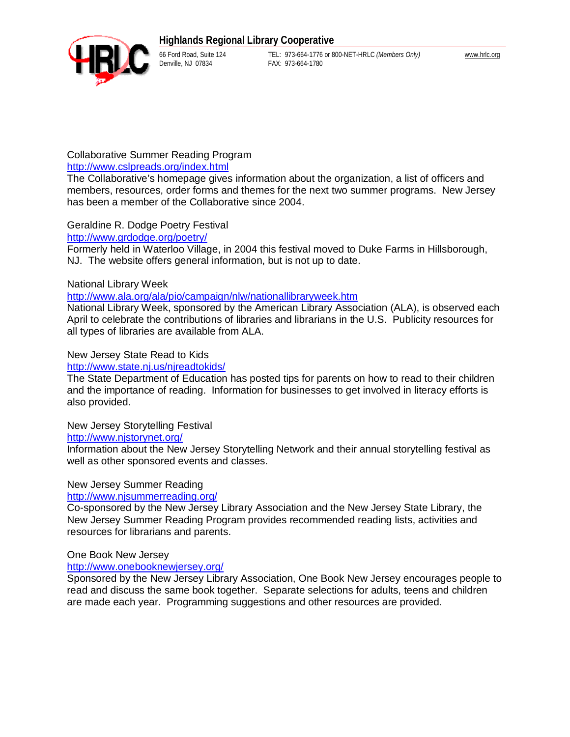

66 Ford Road, Suite 124 TEL: 973-664-1776 or 800-NET-HRLC *(Members Only)* [www.hrlc.org](http://www.hrlc.org) FAX: 973-664-1780

# Collaborative Summer Reading Program

## <http://www.cslpreads.org/index.html>

The Collaborative's homepage gives information about the organization, a list of officers and members, resources, order forms and themes for the next two summer programs. New Jersey has been a member of the Collaborative since 2004.

# Geraldine R. Dodge Poetry Festival

## <http://www.grdodge.org/poetry/>

Formerly held in Waterloo Village, in 2004 this festival moved to Duke Farms in Hillsborough, NJ. The website offers general information, but is not up to date.

## National Library Week

### <http://www.ala.org/ala/pio/campaign/nlw/nationallibraryweek.htm>

National Library Week, sponsored by the American Library Association (ALA), is observed each April to celebrate the contributions of libraries and librarians in the U.S. Publicity resources for all types of libraries are available from ALA.

## New Jersey State Read to Kids

#### <http://www.state.nj.us/njreadtokids/>

The State Department of Education has posted tips for parents on how to read to their children and the importance of reading. Information for businesses to get involved in literacy efforts is also provided.

#### New Jersey Storytelling Festival

#### <http://www.njstorynet.org/>

Information about the New Jersey Storytelling Network and their annual storytelling festival as well as other sponsored events and classes.

## New Jersey Summer Reading

## <http://www.njsummerreading.org/>

Co-sponsored by the New Jersey Library Association and the New Jersey State Library, the New Jersey Summer Reading Program provides recommended reading lists, activities and resources for librarians and parents.

#### One Book New Jersey

#### <http://www.onebooknewjersey.org/>

Sponsored by the New Jersey Library Association, One Book New Jersey encourages people to read and discuss the same book together. Separate selections for adults, teens and children are made each year. Programming suggestions and other resources are provided.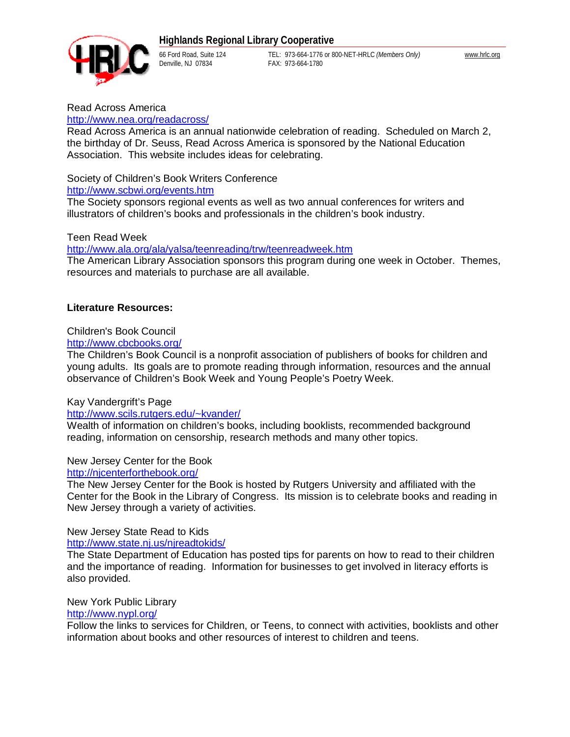

66 Ford Road, Suite 124 TEL: 973-664-1776 or 800-NET-HRLC *(Members Only)* [www.hrlc.org](http://www.hrlc.org) FAX: 973-664-1780

Read Across America

#### <http://www.nea.org/readacross/>

Read Across America is an annual nationwide celebration of reading. Scheduled on March 2, the birthday of Dr. Seuss, Read Across America is sponsored by the National Education Association. This website includes ideas for celebrating.

#### Society of Children's Book Writers Conference

#### <http://www.scbwi.org/events.htm>

The Society sponsors regional events as well as two annual conferences for writers and illustrators of children's books and professionals in the children's book industry.

#### Teen Read Week

#### <http://www.ala.org/ala/yalsa/teenreading/trw/teenreadweek.htm>

The American Library Association sponsors this program during one week in October. Themes, resources and materials to purchase are all available.

#### **Literature Resources:**

#### Children's Book Council

## <http://www.cbcbooks.org/>

The Children's Book Council is a nonprofit association of publishers of books for children and young adults. Its goals are to promote reading through information, resources and the annual observance of Children's Book Week and Young People's Poetry Week.

#### Kay Vandergrift's Page

#### <http://www.scils.rutgers.edu/~kvander/>

Wealth of information on children's books, including booklists, recommended background reading, information on censorship, research methods and many other topics.

#### New Jersey Center for the Book

#### <http://njcenterforthebook.org/>

The New Jersey Center for the Book is hosted by Rutgers University and affiliated with the Center for the Book in the Library of Congress. Its mission is to celebrate books and reading in New Jersey through a variety of activities.

#### New Jersey State Read to Kids

<http://www.state.nj.us/njreadtokids/>

The State Department of Education has posted tips for parents on how to read to their children and the importance of reading. Information for businesses to get involved in literacy efforts is also provided.

#### New York Public Library

## <http://www.nypl.org/>

Follow the links to services for Children, or Teens, to connect with activities, booklists and other information about books and other resources of interest to children and teens.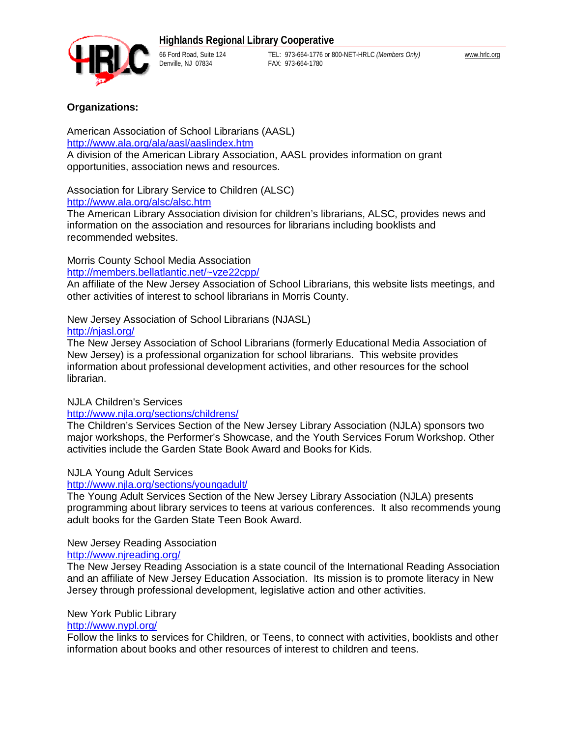

66 Ford Road, Suite 124 TEL: 973-664-1776 or 800-NET-HRLC *(Members Only)* [www.hrlc.org](http://www.hrlc.org) FAX: 973-664-1780

# **Organizations:**

American Association of School Librarians (AASL) <http://www.ala.org/ala/aasl/aaslindex.htm> A division of the American Library Association, AASL provides information on grant opportunities, association news and resources.

Association for Library Service to Children (ALSC)

## <http://www.ala.org/alsc/alsc.htm>

The American Library Association division for children's librarians, ALSC, provides news and information on the association and resources for librarians including booklists and recommended websites.

# Morris County School Media Association

### <http://members.bellatlantic.net/~vze22cpp/>

An affiliate of the New Jersey Association of School Librarians, this website lists meetings, and other activities of interest to school librarians in Morris County.

New Jersey Association of School Librarians (NJASL) <http://njasl.org/>

The New Jersey Association of School Librarians (formerly Educational Media Association of New Jersey) is a professional organization for school librarians. This website provides information about professional development activities, and other resources for the school librarian.

## NJLA Children's Services

## <http://www.njla.org/sections/childrens/>

The Children's Services Section of the New Jersey Library Association (NJLA) sponsors two major workshops, the Performer's Showcase, and the Youth Services Forum Workshop. Other activities include the Garden State Book Award and Books for Kids.

# NJLA Young Adult Services

## <http://www.njla.org/sections/youngadult/>

The Young Adult Services Section of the New Jersey Library Association (NJLA) presents programming about library services to teens at various conferences. It also recommends young adult books for the Garden State Teen Book Award.

## New Jersey Reading Association

## <http://www.njreading.org/>

The New Jersey Reading Association is a state council of the International Reading Association and an affiliate of New Jersey Education Association. Its mission is to promote literacy in New Jersey through professional development, legislative action and other activities.

## New York Public Library

# <http://www.nypl.org/>

Follow the links to services for Children, or Teens, to connect with activities, booklists and other information about books and other resources of interest to children and teens.